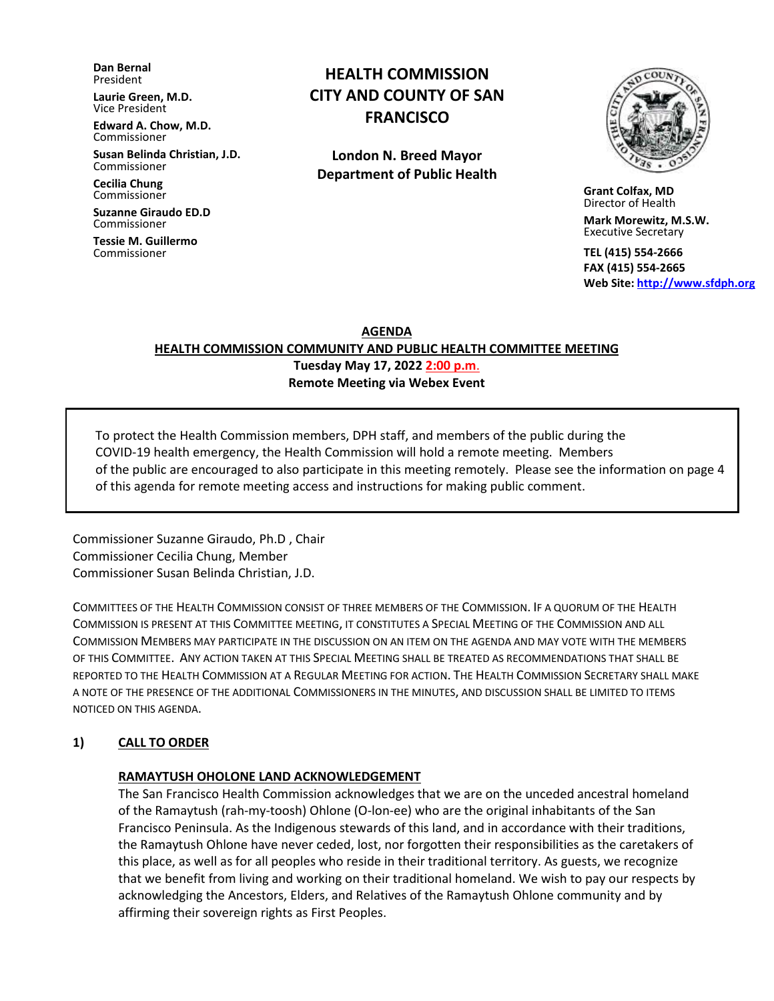**Dan Bernal** President

**Laurie Green, M.D.** Vice President

**Edward A. Chow, M.D.** Commissioner

**Susan Belinda Christian, J.D.** Commissioner

**Cecilia Chung**  Commissioner

**Suzanne Giraudo ED.D** Commissioner

**Tessie M. Guillermo** Commissioner

# **HEALTH COMMISSION CITY AND COUNTY OF SAN FRANCISCO**

**London N. Breed Mayor Department of Public Health**



 **Grant Colfax, MD**  Director of Health

 **Mark Morewitz, M.S.W.**  Executive Secretary

 **TEL (415) 554-2666 FAX (415) 554-2665 Web Site: [http://www.sfdph.org](http://www.sfdph.org/)**

**AGENDA**

**HEALTH COMMISSION COMMUNITY AND PUBLIC HEALTH COMMITTEE MEETING Tuesday May 17, 2022 2:00 p.m**.

**Remote Meeting via Webex Event**

To protect the Health Commission members, DPH staff, and members of the public during the COVID-19 health emergency, the Health Commission will hold a remote meeting. Members of the public are encouraged to also participate in this meeting remotely. Please see the information on page 4 of this agenda for remote meeting access and instructions for making public comment.

Commissioner Suzanne Giraudo, Ph.D , Chair Commissioner Cecilia Chung, Member Commissioner Susan Belinda Christian, J.D.

COMMITTEES OF THE HEALTH COMMISSION CONSIST OF THREE MEMBERS OF THE COMMISSION. IF A QUORUM OF THE HEALTH COMMISSION IS PRESENT AT THIS COMMITTEE MEETING, IT CONSTITUTES A SPECIAL MEETING OF THE COMMISSION AND ALL COMMISSION MEMBERS MAY PARTICIPATE IN THE DISCUSSION ON AN ITEM ON THE AGENDA AND MAY VOTE WITH THE MEMBERS OF THIS COMMITTEE. ANY ACTION TAKEN AT THIS SPECIAL MEETING SHALL BE TREATED AS RECOMMENDATIONS THAT SHALL BE REPORTED TO THE HEALTH COMMISSION AT A REGULAR MEETING FOR ACTION. THE HEALTH COMMISSION SECRETARY SHALL MAKE A NOTE OF THE PRESENCE OF THE ADDITIONAL COMMISSIONERS IN THE MINUTES, AND DISCUSSION SHALL BE LIMITED TO ITEMS NOTICED ON THIS AGENDA.

# **1) CALL TO ORDER**

#### **RAMAYTUSH OHOLONE LAND ACKNOWLEDGEMENT**

The San Francisco Health Commission acknowledges that we are on the unceded ancestral homeland of the Ramaytush (rah-my-toosh) Ohlone (O-lon-ee) who are the original inhabitants of the San Francisco Peninsula. As the Indigenous stewards of this land, and in accordance with their traditions, the Ramaytush Ohlone have never ceded, lost, nor forgotten their responsibilities as the caretakers of this place, as well as for all peoples who reside in their traditional territory. As guests, we recognize that we benefit from living and working on their traditional homeland. We wish to pay our respects by acknowledging the Ancestors, Elders, and Relatives of the Ramaytush Ohlone community and by affirming their sovereign rights as First Peoples.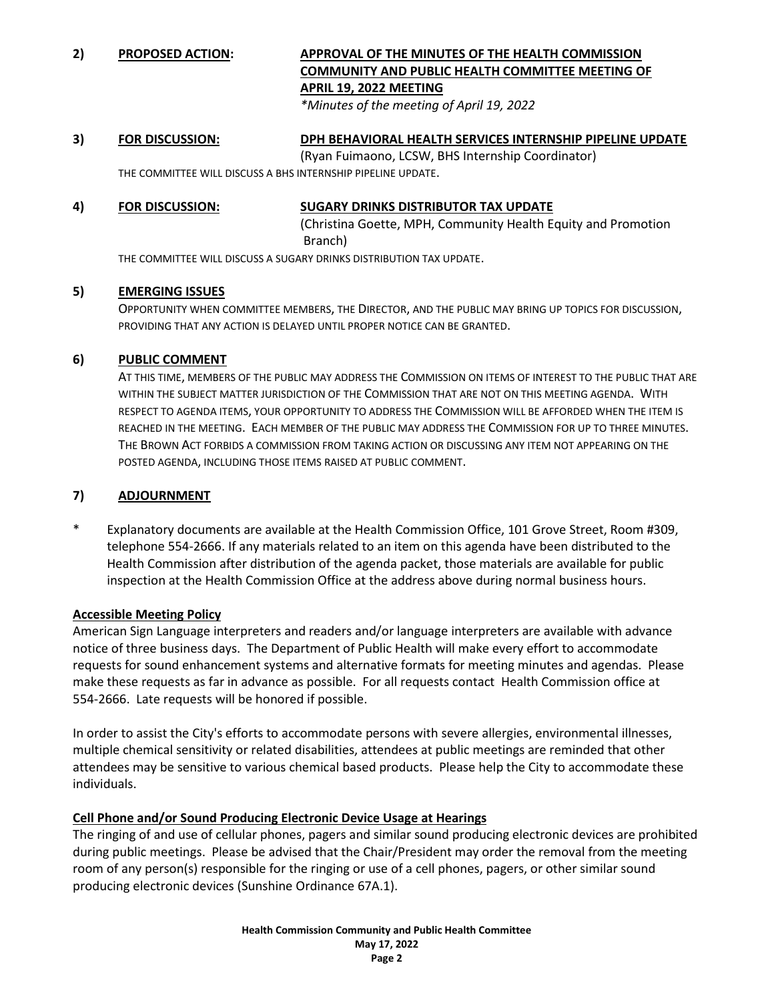# **2) PROPOSED ACTION: APPROVAL OF THE MINUTES OF THE HEALTH COMMISSION COMMUNITY AND PUBLIC HEALTH COMMITTEE MEETING OF APRIL 19, 2022 MEETING**

*\*Minutes of the meeting of April 19, 2022*

#### **3) FOR DISCUSSION: DPH BEHAVIORAL HEALTH SERVICES INTERNSHIP PIPELINE UPDATE** (Ryan Fuimaono, LCSW, BHS Internship Coordinator) THE COMMITTEE WILL DISCUSS A BHS INTERNSHIP PIPELINE UPDATE.

# **4) FOR DISCUSSION: SUGARY DRINKS DISTRIBUTOR TAX UPDATE**

(Christina Goette, MPH, Community Health Equity and Promotion Branch)

THE COMMITTEE WILL DISCUSS A SUGARY DRINKS DISTRIBUTION TAX UPDATE.

### **5) EMERGING ISSUES**

OPPORTUNITY WHEN COMMITTEE MEMBERS, THE DIRECTOR, AND THE PUBLIC MAY BRING UP TOPICS FOR DISCUSSION, PROVIDING THAT ANY ACTION IS DELAYED UNTIL PROPER NOTICE CAN BE GRANTED.

#### **6) PUBLIC COMMENT**

AT THIS TIME, MEMBERS OF THE PUBLIC MAY ADDRESS THE COMMISSION ON ITEMS OF INTEREST TO THE PUBLIC THAT ARE WITHIN THE SUBJECT MATTER JURISDICTION OF THE COMMISSION THAT ARE NOT ON THIS MEETING AGENDA. WITH RESPECT TO AGENDA ITEMS, YOUR OPPORTUNITY TO ADDRESS THE COMMISSION WILL BE AFFORDED WHEN THE ITEM IS REACHED IN THE MEETING. EACH MEMBER OF THE PUBLIC MAY ADDRESS THE COMMISSION FOR UP TO THREE MINUTES. THE BROWN ACT FORBIDS A COMMISSION FROM TAKING ACTION OR DISCUSSING ANY ITEM NOT APPEARING ON THE POSTED AGENDA, INCLUDING THOSE ITEMS RAISED AT PUBLIC COMMENT.

### **7) ADJOURNMENT**

Explanatory documents are available at the Health Commission Office, 101 Grove Street, Room #309, telephone 554-2666. If any materials related to an item on this agenda have been distributed to the Health Commission after distribution of the agenda packet, those materials are available for public inspection at the Health Commission Office at the address above during normal business hours.

#### **Accessible Meeting Policy**

American Sign Language interpreters and readers and/or language interpreters are available with advance notice of three business days. The Department of Public Health will make every effort to accommodate requests for sound enhancement systems and alternative formats for meeting minutes and agendas. Please make these requests as far in advance as possible. For all requests contact Health Commission office at 554-2666. Late requests will be honored if possible.

In order to assist the City's efforts to accommodate persons with severe allergies, environmental illnesses, multiple chemical sensitivity or related disabilities, attendees at public meetings are reminded that other attendees may be sensitive to various chemical based products. Please help the City to accommodate these individuals.

# **Cell Phone and/or Sound Producing Electronic Device Usage at Hearings**

The ringing of and use of cellular phones, pagers and similar sound producing electronic devices are prohibited during public meetings. Please be advised that the Chair/President may order the removal from the meeting room of any person(s) responsible for the ringing or use of a cell phones, pagers, or other similar sound producing electronic devices (Sunshine Ordinance 67A.1).

> **Health Commission Community and Public Health Committee May 17, 2022 Page 2**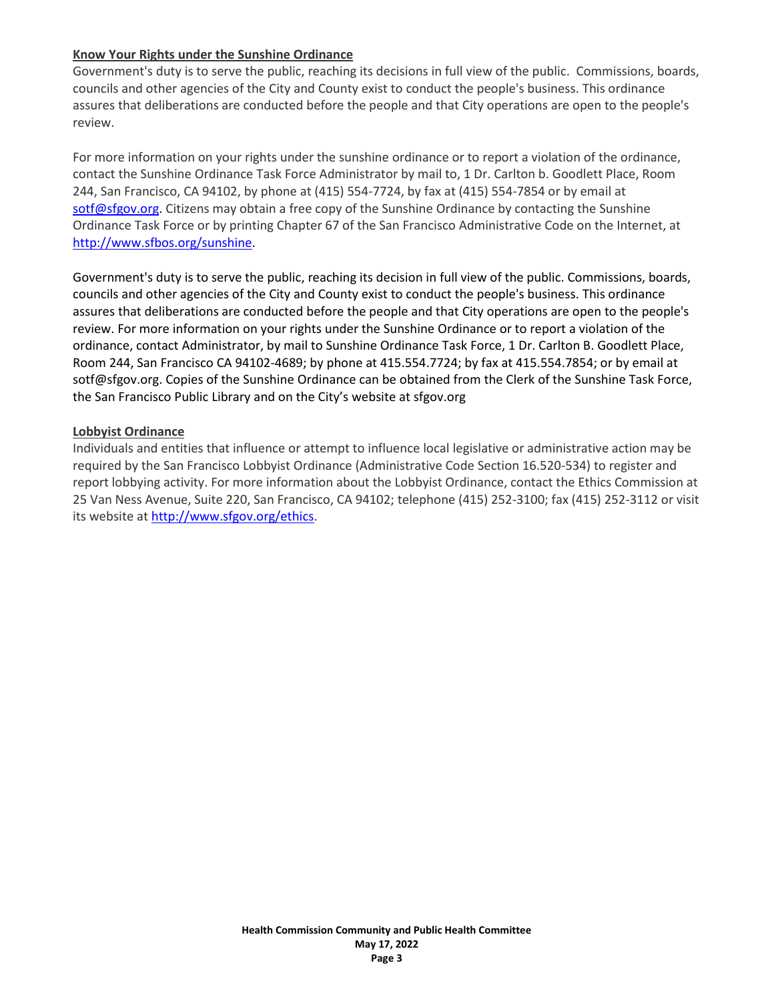#### **Know Your Rights under the Sunshine Ordinance**

Government's duty is to serve the public, reaching its decisions in full view of the public. Commissions, boards, councils and other agencies of the City and County exist to conduct the people's business. This ordinance assures that deliberations are conducted before the people and that City operations are open to the people's review.

For more information on your rights under the sunshine ordinance or to report a violation of the ordinance, contact the Sunshine Ordinance Task Force Administrator by mail to, 1 Dr. Carlton b. Goodlett Place, Room 244, San Francisco, CA 94102, by phone at (415) 554-7724, by fax at (415) 554-7854 or by email at [sotf@sfgov.org.](mailto:sotf@sfgov.org) Citizens may obtain a free copy of the Sunshine Ordinance by contacting the Sunshine Ordinance Task Force or by printing Chapter 67 of the San Francisco Administrative Code on the Internet, at [http://www.sfbos.org/sunshine.](http://www.sfbos.org/index.aspx?page=4459)

Government's duty is to serve the public, reaching its decision in full view of the public. Commissions, boards, councils and other agencies of the City and County exist to conduct the people's business. This ordinance assures that deliberations are conducted before the people and that City operations are open to the people's review. For more information on your rights under the Sunshine Ordinance or to report a violation of the ordinance, contact Administrator, by mail to Sunshine Ordinance Task Force, 1 Dr. Carlton B. Goodlett Place, Room 244, San Francisco CA 94102-4689; by phone at 415.554.7724; by fax at 415.554.7854; or by email at sotf@sfgov.org. Copies of the Sunshine Ordinance can be obtained from the Clerk of the Sunshine Task Force, the San Francisco Public Library and on the City's website at sfgov.org

#### **Lobbyist Ordinance**

Individuals and entities that influence or attempt to influence local legislative or administrative action may be required by the San Francisco Lobbyist Ordinance (Administrative Code Section 16.520-534) to register and report lobbying activity. For more information about the Lobbyist Ordinance, contact the Ethics Commission at 25 Van Ness Avenue, Suite 220, San Francisco, CA 94102; telephone (415) 252-3100; fax (415) 252-3112 or visit its website a[t http://www.sfgov.org/ethics.](http://www.sfgov.org/ethics)